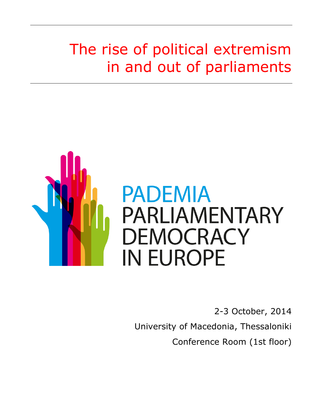# The rise of political extremism in and out of parliaments



2-3 October, 2014 University of Macedonia, Thessaloniki Conference Room (1st floor)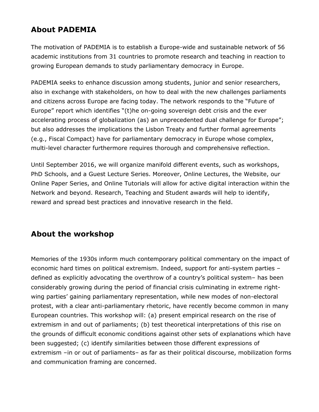## **About PADEMIA**

The motivation of PADEMIA is to establish a Europe-wide and sustainable network of 56 academic institutions from 31 countries to promote research and teaching in reaction to growing European demands to study parliamentary democracy in Europe.

PADEMIA seeks to enhance discussion among students, junior and senior researchers, also in exchange with stakeholders, on how to deal with the new challenges parliaments and citizens across Europe are facing today. The network responds to the "Future of Europe" report which identifies "(t)he on-going sovereign debt crisis and the ever accelerating process of globalization (as) an unprecedented dual challenge for Europe"; but also addresses the implications the Lisbon Treaty and further formal agreements (e.g., Fiscal Compact) have for parliamentary democracy in Europe whose complex, multi-level character furthermore requires thorough and comprehensive reflection.

Until September 2016, we will organize manifold different events, such as workshops, PhD Schools, and a Guest Lecture Series. Moreover, Online Lectures, the Website, our Online Paper Series, and Online Tutorials will allow for active digital interaction within the Network and beyond. Research, Teaching and Student awards will help to identify, reward and spread best practices and innovative research in the field.

### **About the workshop**

Memories of the 1930s inform much contemporary political commentary on the impact of economic hard times on political extremism. Indeed, support for anti-system parties – defined as explicitly advocating the overthrow of a country's political system– has been considerably growing during the period of financial crisis culminating in extreme rightwing parties' gaining parliamentary representation, while new modes of non-electoral protest, with a clear anti-parliamentary rhetoric, have recently become common in many European countries. This workshop will: (a) present empirical research on the rise of extremism in and out of parliaments; (b) test theoretical interpretations of this rise on the grounds of difficult economic conditions against other sets of explanations which have been suggested; (c) identify similarities between those different expressions of extremism –in or out of parliaments– as far as their political discourse, mobilization forms and communication framing are concerned.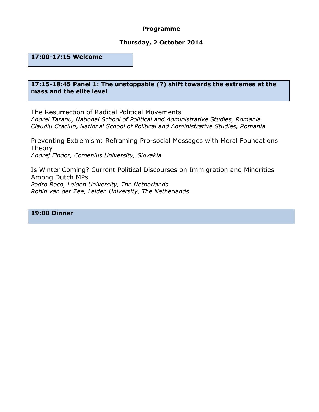#### **Programme**

#### **Thursday, 2 October 2014**

**17:00-17:15 Welcome**

#### **17:15-18:45 Panel 1: The unstoppable (?) shift towards the extremes at the mass and the elite level**

The Resurrection of Radical Political Movements *Andrei Taranu, National School of Political and Administrative Studies, Romania Claudiu Craciun, National School of Political and Administrative Studies, Romania*

Preventing Extremism: Reframing Pro-social Messages with Moral Foundations Theory *Andrej Findor, Comenius University, Slovakia*

Is Winter Coming? Current Political Discourses on Immigration and Minorities Among Dutch MPs *Pedro Roco, Leiden University, The Netherlands Robin van der Zee, Leiden University, The Netherlands*

#### **19:00 Dinner**